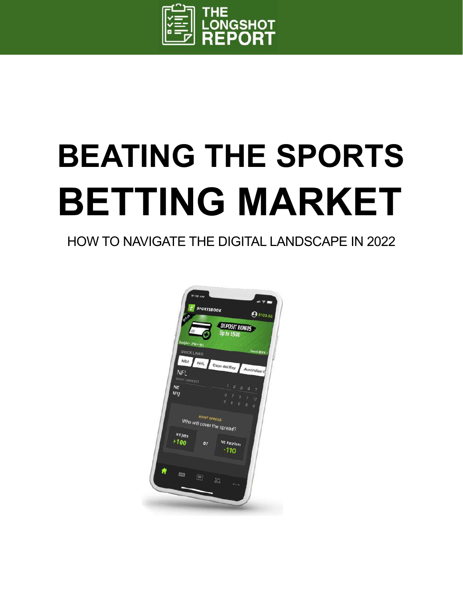

## **BEATING THE SPORTS BETTING MARKET**

## HOW TO NAVIGATE THE DIGITAL LANDSCAPE IN 2022

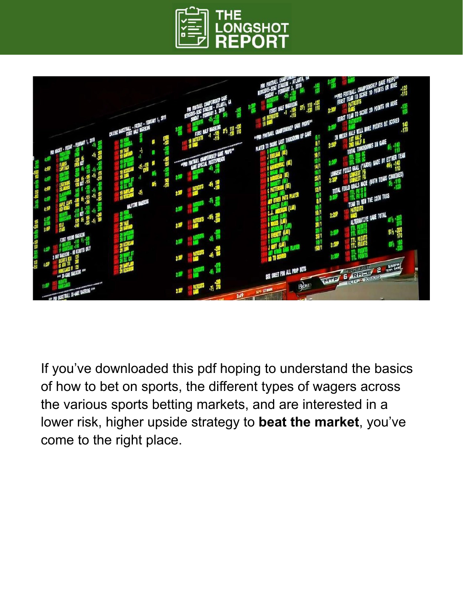



If you've downloaded this pdf hoping to understand the basics of how to bet on sports, the different types of wagers across the various sports betting markets, and are interested in a lower risk, higher upside strategy to **beat the market**, you've come to the right place.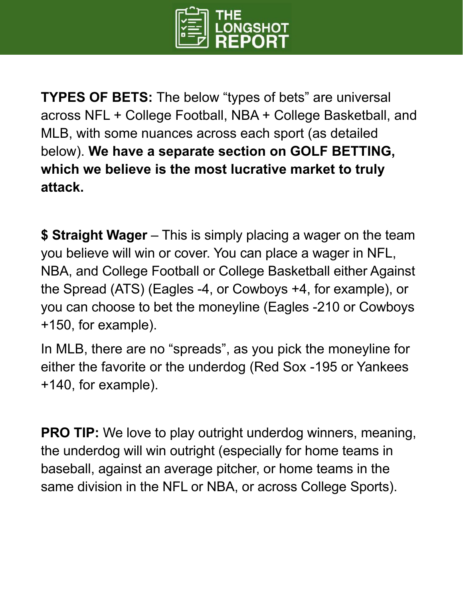

**TYPES OF BETS:** The below "types of bets" are universal across NFL + College Football, NBA + College Basketball, and MLB, with some nuances across each sport (as detailed below). **We have a separate section on GOLF BETTING, which we believe is the most lucrative market to truly attack.**

**\$ Straight Wager** – This is simply placing a wager on the team you believe will win or cover. You can place a wager in NFL, NBA, and College Football or College Basketball either Against the Spread (ATS) (Eagles -4, or Cowboys +4, for example), or you can choose to bet the moneyline (Eagles -210 or Cowboys +150, for example).

In MLB, there are no "spreads", as you pick the moneyline for either the favorite or the underdog (Red Sox -195 or Yankees +140, for example).

**PRO TIP:** We love to play outright underdog winners, meaning, the underdog will win outright (especially for home teams in baseball, against an average pitcher, or home teams in the same division in the NFL or NBA, or across College Sports).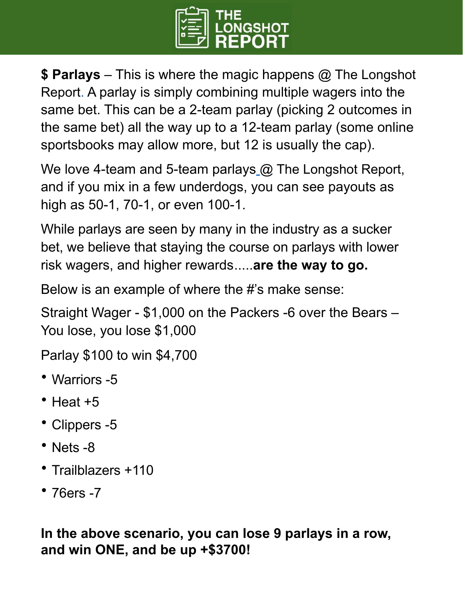

**\$ Parlays** – This is where the magic happens @ The Longshot Report. A parlay is simply combining multiple wagers into the same bet. This can be a 2-team parlay (picking 2 outcomes in the same bet) all the way up to a 12-team parlay (some online sportsbooks may allow more, but 12 is usually the cap).

We love 4-team and 5-team parlays [@ The Longshot Report](https://www.thelongshotreport.com/upgrade), and if you mix in a few underdogs, you can see payouts as high as 50-1, 70-1, or even 100-1.

While parlays are seen by many in the industry as a sucker bet, we believe that staying the course on parlays with lower risk wagers, and higher rewards.....**are the way to go.**

Below is an example of where the #'s make sense:

Straight Wager - \$1,000 on the Packers -6 over the Bears – You lose, you lose \$1,000

Parlay \$100 to win \$4,700

- Warriors -5
- Heat  $+5$
- Clippers -5
- Nets -8
- Trailblazers +110
- 76ers -7

**In the above scenario, you can lose 9 parlays in a row, and win ONE, and be up +\$3700!**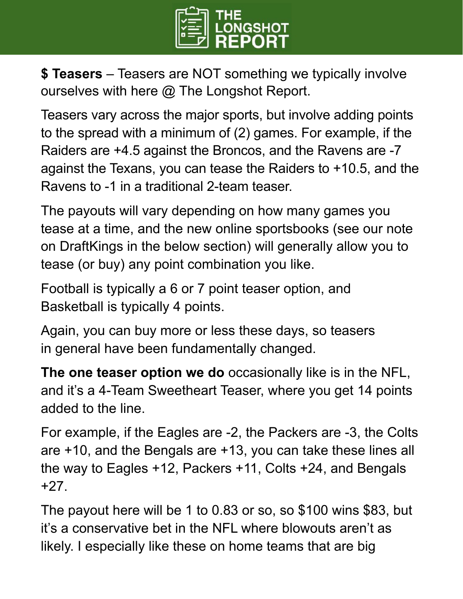

**\$ Teasers** – Teasers are NOT something we typically involve ourselves with here @ The Longshot Report.

Teasers vary across the major sports, but involve adding points to the spread with a minimum of (2) games. For example, if the Raiders are +4.5 against the Broncos, and the Ravens are -7 against the Texans, you can tease the Raiders to +10.5, and the Ravens to -1 in a traditional 2-team teaser.

The payouts will vary depending on how many games you tease at a time, and the new online sportsbooks (see our note on DraftKings in the below section) will generally allow you to tease (or buy) any point combination you like.

Football is typically a 6 or 7 point teaser option, and Basketball is typically 4 points.

Again, you can buy more or less these days, so teasers in general have been fundamentally changed.

**The one teaser option we do** occasionally like is in the NFL, and it's a 4-Team Sweetheart Teaser, where you get 14 points added to the line.

For example, if the Eagles are -2, the Packers are -3, the Colts are +10, and the Bengals are +13, you can take these lines all the way to Eagles +12, Packers +11, Colts +24, and Bengals +27.

The payout here will be 1 to 0.83 or so, so \$100 wins \$83, but it's a conservative bet in the NFL where blowouts aren't as likely. I especially like these on home teams that are big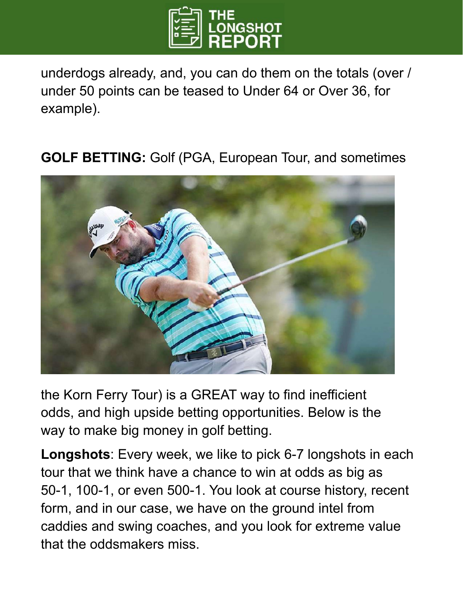

underdogs already, and, you can do them on the totals (over / under 50 points can be teased to Under 64 or Over 36, for example).

## **GOLF BETTING:** Golf (PGA, European Tour, and sometimes



the Korn Ferry Tour) is a GREAT way to find inefficient odds, and high upside betting opportunities. Below is the way to make big money in golf betting.

**Longshots**: Every week, we like to pick 6-7 longshots in each tour that we think have a chance to win at odds as big as 50-1, 100-1, or even 500-1. You look at course history, recent form, and in our case, we have on the ground intel from caddies and swing coaches, and you look for extreme value that the oddsmakers miss.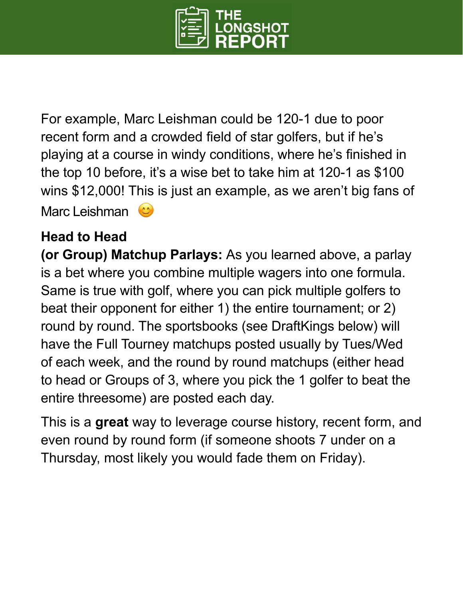

For example, Marc Leishman could be 120-1 due to poor recent form and a crowded field of star golfers, but if he's playing at a course in windy conditions, where he's finished in the top 10 before, it's a wise bet to take him at 120-1 as \$100 wins \$12,000! This is just an example, as we aren't big fans of Marc Leishman  $\left( 0 \right)$ 

## **Head to Head**

**(or Group) Matchup Parlays:** As you learned above, a parlay is a bet where you combine multiple wagers into one formula. Same is true with golf, where you can pick multiple golfers to beat their opponent for either 1) the entire tournament; or 2) round by round. The sportsbooks (see DraftKings below) will have the Full Tourney matchups posted usually by Tues/Wed of each week, and the round by round matchups (either head to head or Groups of 3, where you pick the 1 golfer to beat the entire threesome) are posted each day.

This is a **great** way to leverage course history, recent form, and even round by round form (if someone shoots 7 under on a Thursday, most likely you would fade them on Friday).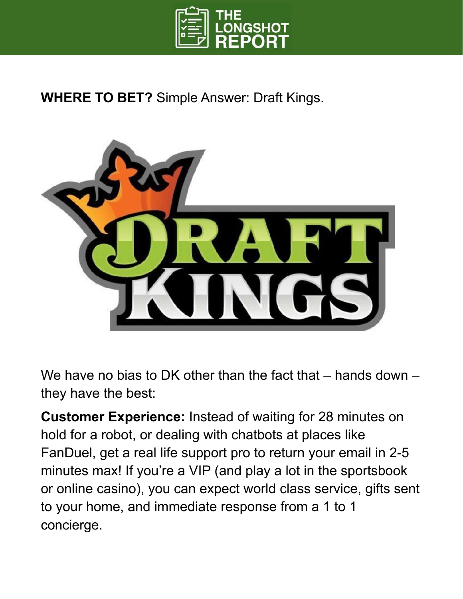

**WHERE TO BET?** Simple Answer: Draft Kings.



We have no bias to DK other than the fact that – hands down – they have the best:

**Customer Experience:** Instead of waiting for 28 minutes on hold for a robot, or dealing with chatbots at places like FanDuel, get a real life support pro to return your email in 2-5 minutes max! If you're a VIP (and play a lot in the sportsbook or online casino), you can expect world class service, gifts sent to your home, and immediate response from a 1 to 1 concierge.